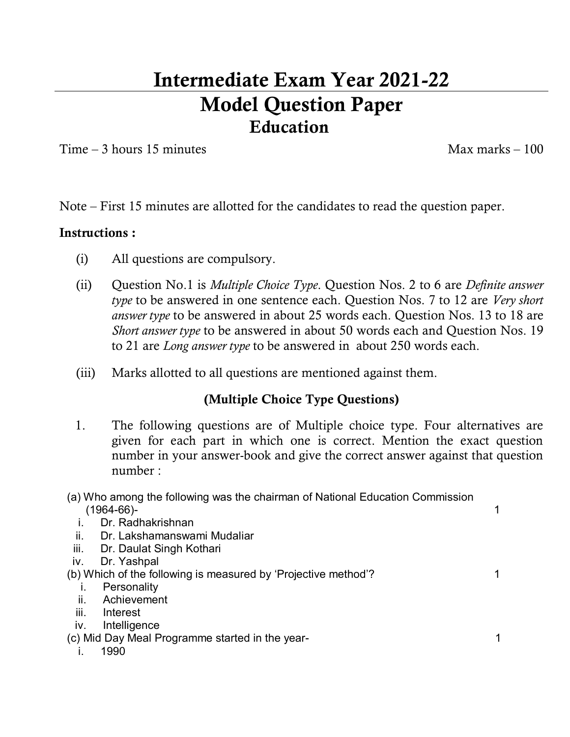# **Intermediate Exam Year 2021-22 Model Question Paper Education**

 $Time - 3 hours 15 minutes$  Max marks – 100

Note – First 15 minutes are allotted for the candidates to read the question paper.

## **Instructions :**

- (i) All questions are compulsory.
- (ii) Question No.1 is *Multiple Choice Type*. Question Nos. 2 to 6 are *Definite answer type* to be answered in one sentence each. Question Nos. 7 to 12 are *Very short answer type* to be answered in about 25 words each. Question Nos. 13 to 18 are *Short answer type* to be answered in about 50 words each and Question Nos. 19 to 21 are *Long answer type* to be answered in about 250 words each.
- (iii) Marks allotted to all questions are mentioned against them.

# **(Multiple Choice Type Questions)**

- 1. The following questions are of Multiple choice type. Four alternatives are given for each part in which one is correct. Mention the exact question number in your answer-book and give the correct answer against that question number :
- (a) Who among the following was the chairman of National Education Commission (1964-66)- 1
	- i. Dr. Radhakrishnan
	- ii. Dr. Lakshamanswami Mudaliar
- iii. Dr. Daulat Singh Kothari
- iv. Dr. Yashpal
- (b) Which of the following is measured by 'Projective method'?
	- i. Personality
	- ii. Achievement
	- iii. Interest
	- iv. Intelligence

(c) Mid Day Meal Programme started in the year-

i. 1990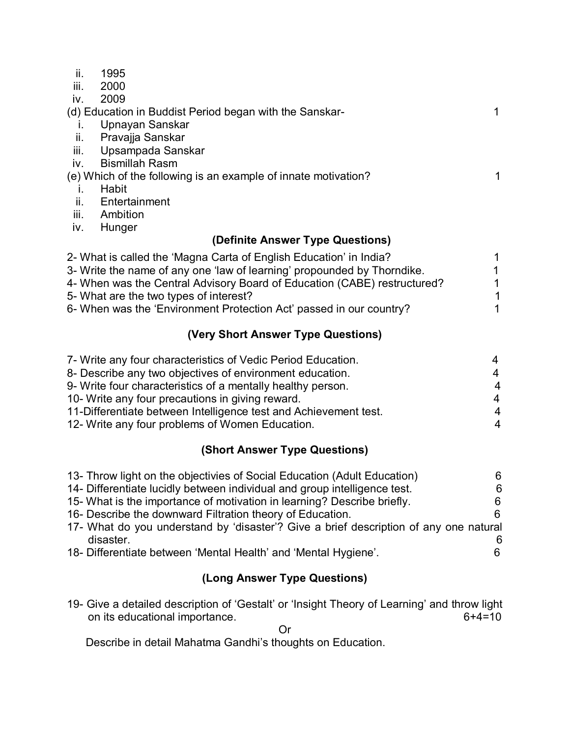| ii.                                                                      | 1995                  |    |  |  |
|--------------------------------------------------------------------------|-----------------------|----|--|--|
| iii.                                                                     | 2000                  |    |  |  |
| iv.                                                                      | 2009                  |    |  |  |
| (d) Education in Buddist Period began with the Sanskar-                  |                       |    |  |  |
| Ъ.                                                                       | Upnayan Sanskar       |    |  |  |
| ii.                                                                      | Pravajja Sanskar      |    |  |  |
| iii.                                                                     | Upsampada Sanskar     |    |  |  |
| IV.                                                                      | <b>Bismillah Rasm</b> |    |  |  |
| (e) Which of the following is an example of innate motivation?           |                       | 1. |  |  |
| Τ.                                                                       | Habit                 |    |  |  |
| ii.                                                                      | Entertainment         |    |  |  |
| iii.                                                                     | Ambition              |    |  |  |
| IV.                                                                      | Hunger                |    |  |  |
| (Definite Answer Type Questions)                                         |                       |    |  |  |
| 2- What is called the 'Magna Carta of English Education' in India?       |                       |    |  |  |
| 3- Write the name of any one 'law of learning' propounded by Thorndike.  |                       |    |  |  |
| 4- When was the Central Advisory Board of Education (CABE) restructured? |                       |    |  |  |
|                                                                          |                       |    |  |  |

- 
- 5- What are the two types of interest?<br>6- When was the 'Environment Protection Act' passed in our country? 1 6- When was the 'Environment Protection Act' passed in our country? 1

#### **(Very Short Answer Type Questions)**

| 7- Write any four characteristics of Vedic Period Education.     | 4              |
|------------------------------------------------------------------|----------------|
| 8- Describe any two objectives of environment education.         | 4              |
| 9- Write four characteristics of a mentally healthy person.      | $\overline{4}$ |
| 10- Write any four precautions in giving reward.                 | $\overline{4}$ |
| 11-Differentiate between Intelligence test and Achievement test. | 4              |
| 12- Write any four problems of Women Education.                  | 4              |

### **(Short Answer Type Questions)**

| 13- Throw light on the objectivies of Social Education (Adult Education)              | 6. |
|---------------------------------------------------------------------------------------|----|
| 14- Differentiate lucidly between individual and group intelligence test.             | 6  |
| 15- What is the importance of motivation in learning? Describe briefly.               |    |
| 16- Describe the downward Filtration theory of Education.                             |    |
| 17- What do you understand by 'disaster'? Give a brief description of any one natural |    |
| disaster.                                                                             |    |
| 18- Differentiate between 'Mental Health' and 'Mental Hygiene'.                       |    |

#### **(Long Answer Type Questions)**

19- Give a detailed description of 'Gestalt' or 'Insight Theory of Learning' and throw light<br>on its educational importance. on its educational importance.

Or

Describe in detail Mahatma Gandhi's thoughts on Education.